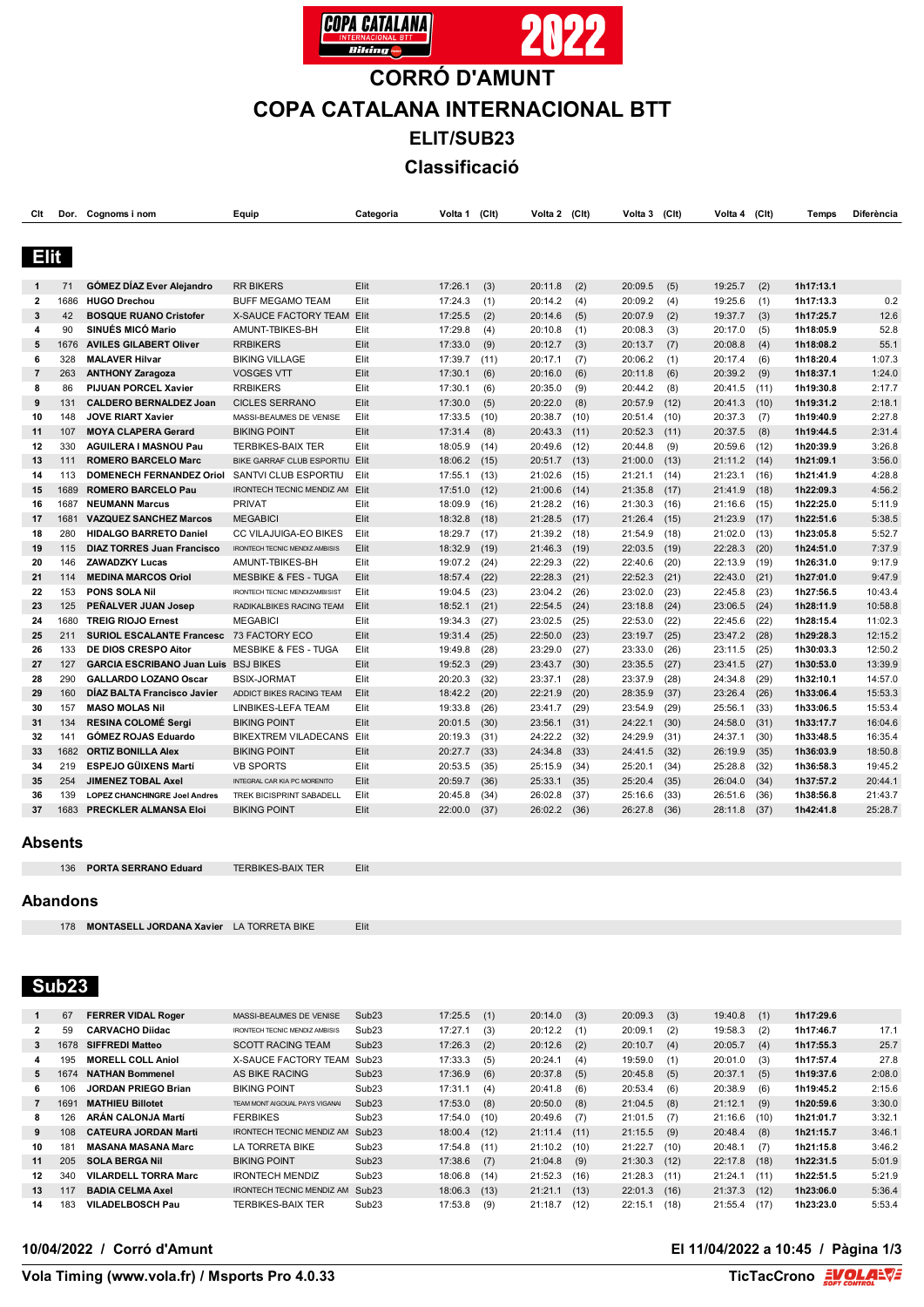



# **CORRÓ D'AMUNT COPA CATALANA INTERNACIONAL BTT**

**ELIT/SUB23**

**Classificació**

| Clt            |      | Dor. Cognoms i nom                   | Equip                                 | Categoria | Volta 1 | (C <sub>It</sub> ) | Volta 2 (Clt) |      | Volta 3 | (Clt) | Volta 4      | (Clt) | Temps     | Diferència |
|----------------|------|--------------------------------------|---------------------------------------|-----------|---------|--------------------|---------------|------|---------|-------|--------------|-------|-----------|------------|
|                |      |                                      |                                       |           |         |                    |               |      |         |       |              |       |           |            |
|                |      |                                      |                                       |           |         |                    |               |      |         |       |              |       |           |            |
| <b>Elit</b>    |      |                                      |                                       |           |         |                    |               |      |         |       |              |       |           |            |
|                |      |                                      |                                       |           |         |                    |               |      |         |       |              |       |           |            |
| 1              | 71   | GÓMEZ DÍAZ Ever Alejandro            | <b>RR BIKERS</b>                      | Elit      | 17:26.1 | (3)                | 20:11.8       | (2)  | 20:09.5 | (5)   | 19:25.7      | (2)   | 1h17:13.1 |            |
| $\mathbf{2}$   | 1686 | <b>HUGO Drechou</b>                  | <b>BUFF MEGAMO TEAM</b>               | Elit      | 17:24.3 | (1)                | 20:14.2       | (4)  | 20:09.2 | (4)   | 19:25.6      | (1)   | 1h17:13.3 | 0.2        |
| 3              | 42   | <b>BOSQUE RUANO Cristofer</b>        | X-SAUCE FACTORY TEAM                  | Elit      | 17:25.5 | (2)                | 20:14.6       | (5)  | 20:07.9 | (2)   | 19:37.7      | (3)   | 1h17:25.7 | 12.6       |
| 4              | 90   | SINUÉS MICÓ Mario                    | AMUNT-TBIKES-BH                       | Elit      | 17:29.8 | (4)                | 20:10.8       | (1)  | 20:08.3 | (3)   | 20:17.0      | (5)   | 1h18:05.9 | 52.8       |
| 5              | 1676 | <b>AVILES GILABERT Oliver</b>        | <b>RRBIKERS</b>                       | Elit      | 17:33.0 | (9)                | 20:12.7       | (3)  | 20:13.7 | (7)   | 20:08.8      | (4)   | 1h18:08.2 | 55.1       |
| 6              | 328  | <b>MALAVER Hilvar</b>                | <b>BIKING VILLAGE</b>                 | Elit      | 17:39.7 | (11)               | 20:17.1       | (7)  | 20:06.2 | (1)   | 20:17.4      | (6)   | 1h18:20.4 | 1:07.3     |
| $\overline{7}$ | 263  | <b>ANTHONY Zaragoza</b>              | <b>VOSGES VTT</b>                     | Elit      | 17:30.1 | (6)                | 20:16.0       | (6)  | 20:11.8 | (6)   | 20:39.2      | (9)   | 1h18:37.1 | 1:24.0     |
| 8              | 86   | <b>PIJUAN PORCEL Xavier</b>          | <b>RRBIKERS</b>                       | Elit      | 17:30.1 | (6)                | 20:35.0       | (9)  | 20:44.2 | (8)   | 20:41.5      | (11)  | 1h19:30.8 | 2:17.7     |
| 9              | 131  | <b>CALDERO BERNALDEZ Joan</b>        | <b>CICLES SERRANO</b>                 | Elit      | 17:30.0 | (5)                | 20:22.0       | (8)  | 20:57.9 | (12)  | 20:41.3      | (10)  | 1h19:31.2 | 2:18.1     |
| 10             | 148  | <b>JOVE RIART Xavier</b>             | MASSI-BEAUMES DE VENISE               | Elit      | 17:33.5 | (10)               | 20:38.7       | (10) | 20:51.4 | (10)  | 20:37.3      | (7)   | 1h19:40.9 | 2:27.8     |
| 11             | 107  | <b>MOYA CLAPERA Gerard</b>           | <b>BIKING POINT</b>                   | Elit      | 17:31.4 | (8)                | 20:43.3       | (11) | 20:52.3 | (11)  | 20:37.5      | (8)   | 1h19:44.5 | 2:31.4     |
| 12             | 330  | <b>AGUILERA I MASNOU Pau</b>         | <b>TERBIKES-BAIX TER</b>              | Elit      | 18:05.9 | (14)               | 20:49.6       | (12) | 20:44.8 | (9)   | 20:59.6      | (12)  | 1h20:39.9 | 3:26.8     |
| 13             | 111  | <b>ROMERO BARCELO Marc</b>           | BIKE GARRAF CLUB ESPORTIU Elit        |           | 18:06.2 | (15)               | 20:51.7       | (13) | 21:00.0 | (13)  | 21:11.2 (14) |       | 1h21:09.1 | 3:56.0     |
| 14             | 113  | <b>DOMENECH FERNANDEZ Oriol</b>      | SANTVI CLUB ESPORTIU                  | Elit      | 17:55.1 | (13)               | 21:02.6       | (15) | 21:21.1 | (14)  | 21:23.1      | (16)  | 1h21:41.9 | 4:28.8     |
| 15             | 1689 | <b>ROMERO BARCELO Pau</b>            | IRONTECH TECNIC MENDIZ AM Elit        |           | 17:51.0 | (12)               | 21:00.6       | (14) | 21:35.8 | (17)  | 21:41.9      | (18)  | 1h22:09.3 | 4:56.2     |
| 16             | 1687 | <b>NEUMANN Marcus</b>                | <b>PRIVAT</b>                         | Elit      | 18:09.9 | (16)               | 21:28.2       | (16) | 21:30.3 | (16)  | 21:16.6      | (15)  | 1h22:25.0 | 5:11.9     |
| 17             | 1681 | <b>VAZQUEZ SANCHEZ Marcos</b>        | <b>MEGABICI</b>                       | Elit      | 18:32.8 | (18)               | 21:28.5       | (17) | 21:26.4 | (15)  | 21:23.9      | (17)  | 1h22:51.6 | 5:38.5     |
| 18             | 280  | <b>HIDALGO BARRETO Daniel</b>        | CC VILAJUIGA-EO BIKES                 | Elit      | 18:29.7 | (17)               | 21:39.2 (18)  |      | 21:54.9 | (18)  | 21:02.0      | (13)  | 1h23:05.8 | 5:52.7     |
| 19             | 115  | <b>DIAZ TORRES Juan Francisco</b>    | <b>IRONTECH TECNIC MENDIZ AMBISIS</b> | Elit      | 18:32.9 | (19)               | 21:46.3       | (19) | 22:03.5 | (19)  | 22:28.3      | (20)  | 1h24:51.0 | 7:37.9     |
| 20             | 146  | <b>ZAWADZKY Lucas</b>                | AMUNT-TBIKES-BH                       | Elit      | 19:07.2 | (24)               | 22:29.3       | (22) | 22:40.6 | (20)  | 22:13.9      | (19)  | 1h26:31.0 | 9:17.9     |
| 21             | 114  | <b>MEDINA MARCOS Oriol</b>           | <b>MESBIKE &amp; FES - TUGA</b>       | Elit      | 18:57.4 | (22)               | 22:28.3       | (21) | 22:52.3 | (21)  | 22:43.0      | (21)  | 1h27:01.0 | 9:47.9     |
| 22             | 153  | <b>PONS SOLA Nil</b>                 | IRONTECH TECNIC MENDIZAMBISIST        | Elit      | 19:04.5 | (23)               | 23:04.2       | (26) | 23:02.0 | (23)  | 22:45.8      | (23)  | 1h27:56.5 | 10:43.4    |
| 23             | 125  | PEÑALVER JUAN Josep                  | RADIKALBIKES RACING TEAM              | Elit      | 18:52.1 | (21)               | 22:54.5       | (24) | 23:18.8 | (24)  | 23:06.5      | (24)  | 1h28:11.9 | 10:58.8    |
| 24             | 1680 | <b>TREIG RIOJO Ernest</b>            | <b>MEGABICI</b>                       | Elit      | 19:34.3 | (27)               | 23:02.5       | (25) | 22:53.0 | (22)  | 22:45.6      | (22)  | 1h28:15.4 | 11:02.3    |
| 25             | 211  | <b>SURIOL ESCALANTE Francesc</b>     | 73 FACTORY ECO                        | Elit      | 19:31.4 | (25)               | 22:50.0       | (23) | 23:19.7 | (25)  | 23:47.2      | (28)  | 1h29:28.3 | 12:15.2    |
| 26             | 133  | DE DIOS CRESPO Aitor                 | <b>MESBIKE &amp; FES - TUGA</b>       | Elit      | 19:49.8 | (28)               | 23:29.0       | (27) | 23:33.0 | (26)  | 23:11.5      | (25)  | 1h30:03.3 | 12:50.2    |
| 27             | 127  | <b>GARCIA ESCRIBANO Juan Luis</b>    | <b>BSJ BIKES</b>                      | Elit      | 19:52.3 | (29)               | 23:43.7       | (30) | 23:35.5 | (27)  | 23:41.5      | (27)  | 1h30:53.0 | 13:39.9    |
| 28             | 290  | <b>GALLARDO LOZANO Oscar</b>         | <b>BSIX-JORMAT</b>                    | Elit      | 20:20.3 | (32)               | 23:37.1       | (28) | 23:37.9 | (28)  | 24:34.8      | (29)  | 1h32:10.1 | 14:57.0    |
| 29             | 160  | DIAZ BALTA Francisco Javier          | ADDICT BIKES RACING TEAM              | Elit      | 18:42.2 | (20)               | 22:21.9       | (20) | 28:35.9 | (37)  | 23:26.4      | (26)  | 1h33:06.4 | 15:53.3    |
| 30             | 157  | <b>MASO MOLAS Nil</b>                | LINBIKES-LEFA TEAM                    | Elit      | 19:33.8 | (26)               | 23:41.7       | (29) | 23:54.9 | (29)  | 25:56.1      | (33)  | 1h33:06.5 | 15:53.4    |
| 31             | 134  | <b>RESINA COLOMÉ Sergi</b>           | <b>BIKING POINT</b>                   | Elit      | 20:01.5 | (30)               | 23:56.1       | (31) | 24:22.1 | (30)  | 24:58.0      | (31)  | 1h33:17.7 | 16:04.6    |
| 32             | 141  | <b>GÓMEZ ROJAS Eduardo</b>           | <b>BIKEXTREM VILADECANS</b>           | Elit      | 20:19.3 | (31)               | 24:22.2       | (32) | 24:29.9 | (31)  | 24:37.1      | (30)  | 1h33:48.5 | 16:35.4    |
| 33             | 1682 | <b>ORTIZ BONILLA Alex</b>            | <b>BIKING POINT</b>                   | Elit      | 20:27.7 | (33)               | 24:34.8       | (33) | 24:41.5 | (32)  | 26:19.9      | (35)  | 1h36:03.9 | 18:50.8    |
| 34             | 219  | <b>ESPEJO GÜIXENS Martí</b>          | <b>VB SPORTS</b>                      | Elit      | 20:53.5 | (35)               | 25:15.9       | (34) | 25:20.1 | (34)  | 25:28.8      | (32)  | 1h36:58.3 | 19:45.2    |
| 35             | 254  | JIMENEZ TOBAL Axel                   | INTEGRAL CAR KIA PC MORENITO          | Elit      | 20:59.7 | (36)               | 25:33.1       | (35) | 25:20.4 | (35)  | 26:04.0      | (34)  | 1h37:57.2 | 20:44.1    |
| 36             | 139  | <b>LOPEZ CHANCHINGRE Joel Andres</b> | TREK BICISPRINT SABADELL              | Elit      | 20:45.8 | (34)               | 26:02.8       | (37) | 25:16.6 | (33)  | 26:51.6      | (36)  | 1h38:56.8 | 21:43.7    |
| 37             | 1683 | PRECKLER ALMANSA Eloi                | <b>BIKING POINT</b>                   | Elit      | 22:00.0 | (37)               | 26:02.2       | (36) | 26:27.8 | (36)  | 28:11.8 (37) |       | 1h42:41.8 | 25:28.7    |
|                |      |                                      |                                       |           |         |                    |               |      |         |       |              |       |           |            |

#### **Absents**

**PORTA SERRANO Eduard** TERBIKES-BAIX TER Elit

#### **Abandons**

**MONTASELL JORDANA Xavier** LA TORRETA BIKE Elit

# **Sub23**

|    | 67   | <b>FERRER VIDAL Roger</b>   | MASSI-BEAUMES DE VENISE               | Sub <sub>23</sub> | 17:25.5        | (1)  | 20:14.0        | (3)  | 20:09.3 | (3)  | 19:40.8 | (1)  | 1h17:29.6 |        |
|----|------|-----------------------------|---------------------------------------|-------------------|----------------|------|----------------|------|---------|------|---------|------|-----------|--------|
| 2  | 59   | <b>CARVACHO Diidac</b>      | <b>IRONTECH TECNIC MENDIZ AMBISIS</b> | Sub <sub>23</sub> | 17:27.1        | (3)  | 20:12.2        | (1)  | 20:09.1 | (2)  | 19:58.3 | (2)  | 1h17:46.7 | 17.1   |
| 3  | 1678 | <b>SIFFREDI Matteo</b>      | <b>SCOTT RACING TEAM</b>              | Sub <sub>23</sub> | 17:26.3        | (2)  | 20:12.6        | (2)  | 20:10.7 | (4)  | 20:05.7 | (4)  | 1h17:55.3 | 25.7   |
| 4  | 195  | <b>MORELL COLL Aniol</b>    | <b>X-SAUCE FACTORY TEAM</b>           | Sub <sub>23</sub> | 17:33.3        | (5)  | 20:24.1        | (4)  | 19:59.0 | (1)  | 20:01.0 | (3)  | 1h17:57.4 | 27.8   |
| 5  | 1674 | <b>NATHAN Bommenel</b>      | AS BIKE RACING                        | Sub <sub>23</sub> | 17:36.9        | (6)  | 20:37.8        | (5)  | 20:45.8 | (5)  | 20:37.1 | (5)  | 1h19:37.6 | 2:08.0 |
| 6  | 106  | <b>JORDAN PRIEGO Brian</b>  | <b>BIKING POINT</b>                   | Sub <sub>23</sub> | 17:31.1        | (4)  | 20:41.8        | (6)  | 20:53.4 | (6)  | 20:38.9 | (6)  | 1h19:45.2 | 2:15.6 |
|    | 1691 | <b>MATHIEU Billotet</b>     | TEAM MONT AIGOUAL PAYS VIGANAI        | Sub <sub>23</sub> | 17:53.0        | (8)  | 20:50.0        | (8)  | 21:04.5 | (8)  | 21:12.1 | (9)  | 1h20:59.6 | 3:30.0 |
| 8  | 126  | <b>ARAN CALONJA Martí</b>   | <b>FERBIKES</b>                       | Sub <sub>23</sub> | 17:54.0        | (10) | 20:49.6        | (7)  | 21:01.5 | (7)  | 21:16.6 | (10) | 1h21:01.7 | 3:32.1 |
| 9  | 108  | <b>CATEURA JORDAN Marti</b> | <b>IRONTECH TECNIC MENDIZ AM</b>      | Sub <sub>23</sub> | $18:00.4$ (12) |      | $21:11.4$ (11) |      | 21:15.5 | (9)  | 20:48.4 | (8)  | 1h21:15.7 | 3:46.1 |
| 10 | 181  | <b>MASANA MASANA Marc</b>   | LA TORRETA BIKE                       | Sub <sub>23</sub> | 17:54.8        | (11) | 21:10.2        | (10) | 21:22.7 | (10) | 20:48.1 | (7)  | 1h21:15.8 | 3:46.2 |
| 11 | 205  | <b>SOLA BERGA Nil</b>       | <b>BIKING POINT</b>                   | Sub <sub>23</sub> | 17:38.6        | (7)  | 21:04.8        | (9)  | 21:30.3 | (12) | 22:17.8 | (18) | 1h22:31.5 | 5:01.9 |
| 12 | 340  | <b>VILARDELL TORRA Marc</b> | <b>IRONTECH MENDIZ</b>                | Sub <sub>23</sub> | 18:06.8        | (14) | 21:52.3        | (16) | 21:28.3 | (11) | 21:24.1 | (11) | 1h22:51.5 | 5:21.9 |
| 13 | 117  | <b>BADIA CELMA Axel</b>     | <b>IRONTECH TECNIC MENDIZ AM</b>      | Sub <sub>23</sub> | $18:06.3$ (13) |      | 21:21.1        | (13) | 22:01.3 | (16) | 21:37.3 | (12) | 1h23:06.0 | 5:36.4 |
| 14 | 183  | <b>VILADELBOSCH Pau</b>     | <b>TERBIKES-BAIX TER</b>              | Sub <sub>23</sub> | 17:53.8        | (9)  | 21:18.7        | (12) | 22:15.1 | (18) | 21:55.4 | (17) | 1h23:23.0 | 5:53.4 |

#### **10/04/2022 / Corró d'Amunt El 11/04/2022 a 10:45 / Pàgina 1/3**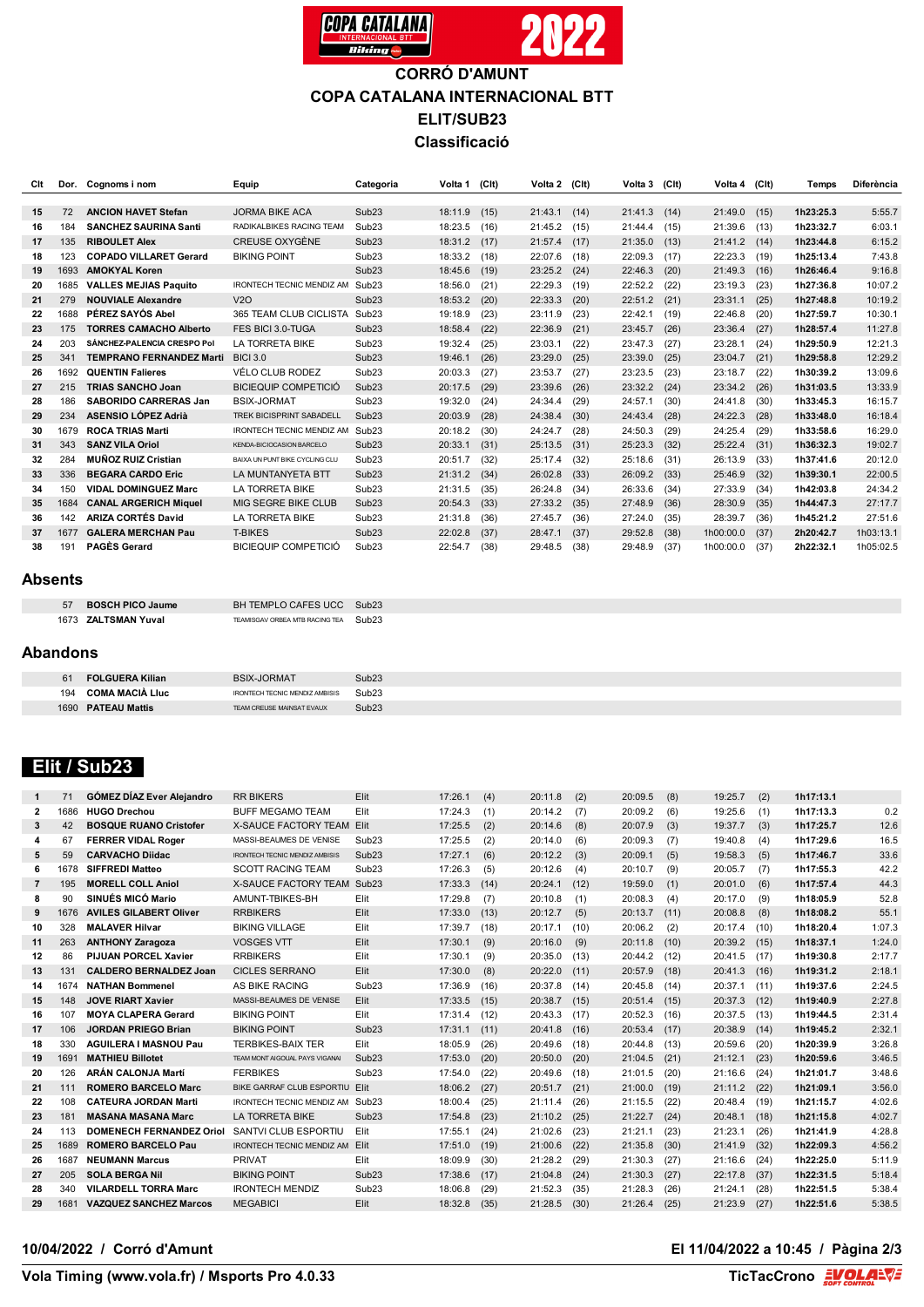

# **CORRÓ D'AMUNT COPA CATALANA INTERNACIONAL BTT ELIT/SUB23 Classificació**

| Clt | Dor. | Cognoms i nom                   | Equip                            | Categoria         | Volta 1 | (C <sub>l</sub> ) | Volta 2 (Clt) |      | Volta 3 | (CIt) | Volta 4   | (C <sub>l</sub> ) | Temps     | Diferència |
|-----|------|---------------------------------|----------------------------------|-------------------|---------|-------------------|---------------|------|---------|-------|-----------|-------------------|-----------|------------|
|     |      |                                 |                                  |                   |         |                   |               |      |         |       |           |                   |           |            |
| 15  | 72   | <b>ANCION HAVET Stefan</b>      | <b>JORMA BIKE ACA</b>            | Sub <sub>23</sub> | 18:11.9 | (15)              | 21:43.1       | (14) | 21:41.3 | (14)  | 21:49.0   | (15)              | 1h23:25.3 | 5:55.7     |
| 16  | 184  | <b>SANCHEZ SAURINA Santi</b>    | RADIKALBIKES RACING TEAM         | Sub <sub>23</sub> | 18:23.5 | (16)              | 21:45.2       | (15) | 21:44.4 | (15)  | 21:39.6   | (13)              | 1h23:32.7 | 6:03.1     |
| 17  | 135  | <b>RIBOULET Alex</b>            | <b>CREUSE OXYGÈNE</b>            | Sub <sub>23</sub> | 18:31.2 | (17)              | 21:57.4       | (17) | 21:35.0 | (13)  | 21:41.2   | (14)              | 1h23:44.8 | 6:15.2     |
| 18  | 123  | <b>COPADO VILLARET Gerard</b>   | <b>BIKING POINT</b>              | Sub <sub>23</sub> | 18:33.2 | (18)              | 22:07.6       | (18) | 22:09.3 | (17)  | 22:23.3   | (19)              | 1h25:13.4 | 7:43.8     |
| 19  | 1693 | <b>AMOKYAL Koren</b>            |                                  | Sub <sub>23</sub> | 18:45.6 | (19)              | 23:25.2       | (24) | 22:46.3 | (20)  | 21:49.3   | (16)              | 1h26:46.4 | 9:16.8     |
| 20  | 1685 | <b>VALLES MEJIAS Paquito</b>    | <b>IRONTECH TECNIC MENDIZ AM</b> | Sub <sub>23</sub> | 18:56.0 | (21)              | 22:29.3       | (19) | 22:52.2 | (22)  | 23:19.3   | (23)              | 1h27:36.8 | 10:07.2    |
| 21  | 279  | <b>NOUVIALE Alexandre</b>       | V2O                              | Sub <sub>23</sub> | 18:53.2 | (20)              | 22:33.3       | (20) | 22:51.2 | (21)  | 23:31.1   | (25)              | 1h27:48.8 | 10:19.2    |
| 22  | 1688 | PÉREZ SAYÓS Abel                | 365 TEAM CLUB CICLISTA           | Sub <sub>23</sub> | 19:18.9 | (23)              | 23:11.9       | (23) | 22:42.1 | (19)  | 22:46.8   | (20)              | 1h27:59.7 | 10:30.1    |
| 23  | 175  | <b>TORRES CAMACHO Alberto</b>   | FES BICL3.0-TUGA                 | Sub <sub>23</sub> | 18:58.4 | (22)              | 22:36.9       | (21) | 23:45.7 | (26)  | 23:36.4   | (27)              | 1h28:57.4 | 11:27.8    |
| 24  | 203  | SÁNCHEZ-PALENCIA CRESPO Pol     | LA TORRETA BIKE                  | Sub <sub>23</sub> | 19:32.4 | (25)              | 23:03.1       | (22) | 23:47.3 | (27)  | 23:28.1   | (24)              | 1h29:50.9 | 12:21.3    |
| 25  | 341  | <b>TEMPRANO FERNANDEZ Marti</b> | <b>BICI 3.0</b>                  | Sub <sub>23</sub> | 19:46.1 | (26)              | 23:29.0       | (25) | 23:39.0 | (25)  | 23:04.7   | (21)              | 1h29:58.8 | 12:29.2    |
| 26  | 1692 | <b>QUENTIN Falieres</b>         | VÉLO CLUB RODEZ                  | Sub <sub>23</sub> | 20:03.3 | (27)              | 23:53.7       | (27) | 23:23.5 | (23)  | 23:18.7   | (22)              | 1h30:39.2 | 13:09.6    |
| 27  | 215  | <b>TRIAS SANCHO Joan</b>        | <b>BICIEQUIP COMPETICIÓ</b>      | Sub <sub>23</sub> | 20:17.5 | (29)              | 23:39.6       | (26) | 23:32.2 | (24)  | 23:34.2   | (26)              | 1h31:03.5 | 13:33.9    |
| 28  | 186  | <b>SABORIDO CARRERAS Jan</b>    | <b>BSIX-JORMAT</b>               | Sub <sub>23</sub> | 19:32.0 | (24)              | 24:34.4       | (29) | 24:57.1 | (30)  | 24:41.8   | (30)              | 1h33:45.3 | 16:15.7    |
| 29  | 234  | <b>ASENSIO LÓPEZ Adrià</b>      | <b>TREK BICISPRINT SABADELL</b>  | Sub <sub>23</sub> | 20:03.9 | (28)              | 24:38.4       | (30) | 24:43.4 | (28)  | 24:22.3   | (28)              | 1h33:48.0 | 16:18.4    |
| 30  | 1679 | <b>ROCA TRIAS Marti</b>         | <b>IRONTECH TECNIC MENDIZ AM</b> | Sub <sub>23</sub> | 20:18.2 | (30)              | 24:24.7       | (28) | 24:50.3 | (29)  | 24:25.4   | (29)              | 1h33:58.6 | 16:29.0    |
| 31  | 343  | <b>SANZ VILA Oriol</b>          | KENDA-BICIOCASION BARCELO        | Sub <sub>23</sub> | 20:33.1 | (31)              | 25:13.5       | (31) | 25:23.3 | (32)  | 25:22.4   | (31)              | 1h36:32.3 | 19:02.7    |
| 32  | 284  | <b>MUÑOZ RUIZ Cristian</b>      | BAIXA UN PUNT BIKE CYCLING CLU   | Sub <sub>23</sub> | 20:51.7 | (32)              | 25:17.4       | (32) | 25:18.6 | (31)  | 26:13.9   | (33)              | 1h37:41.6 | 20:12.0    |
| 33  | 336  | <b>BEGARA CARDO Eric</b>        | LA MUNTANYETA BTT                | Sub <sub>23</sub> | 21:31.2 | (34)              | 26:02.8       | (33) | 26:09.2 | (33)  | 25:46.9   | (32)              | 1h39:30.1 | 22:00.5    |
| 34  | 150  | <b>VIDAL DOMINGUEZ Marc</b>     | LA TORRETA BIKE                  | Sub <sub>23</sub> | 21:31.5 | (35)              | 26:24.8       | (34) | 26:33.6 | (34)  | 27:33.9   | (34)              | 1h42:03.8 | 24:34.2    |
| 35  | 1684 | <b>CANAL ARGERICH Miquel</b>    | MIG SEGRE BIKE CLUB              | Sub <sub>23</sub> | 20:54.3 | (33)              | 27:33.2       | (35) | 27:48.9 | (36)  | 28:30.9   | (35)              | 1h44:47.3 | 27:17.7    |
| 36  | 142  | <b>ARIZA CORTÉS David</b>       | LA TORRETA BIKE                  | Sub <sub>23</sub> | 21:31.8 | (36)              | 27:45.7       | (36) | 27:24.0 | (35)  | 28:39.7   | (36)              | 1h45:21.2 | 27:51.6    |
| 37  | 1677 | <b>GALERA MERCHAN Pau</b>       | <b>T-BIKES</b>                   | Sub <sub>23</sub> | 22:02.8 | (37)              | 28:47.1       | (37) | 29:52.8 | (38)  | 1h00:00.0 | (37)              | 2h20:42.7 | 1h03:13.1  |
| 38  | 191  | <b>PAGÈS Gerard</b>             | <b>BICIEQUIP COMPETICIÓ</b>      | Sub <sub>23</sub> | 22:54.7 | (38)              | 29:48.5       | (38) | 29:48.9 | (37)  | 1h00:00.0 | (37)              | 2h22:32.1 | 1h05:02.5  |

#### **Absents**

| 57 BOSCH PICO Jaume | BH TEMPLO CAFES UCC Sub23            |  |
|---------------------|--------------------------------------|--|
| 1673 ZALTSMAN Yuval | TEAMISGAV ORBEA MTB RACING TEA Sub23 |  |

#### **Abandons**

| <b>FOLGUERA Kilian</b> | <b>BSIX-JORMAT</b>             | Sub <sub>23</sub> |
|------------------------|--------------------------------|-------------------|
| <b>COMA MACIÀ LIUC</b> | IRONTECH TECNIC MENDIZ AMBISIS | Sub <sub>23</sub> |
| 1690 PATEAU Mattis     | TEAM CREUSE MAINSAT EVAUX      | Sub <sub>23</sub> |

# **Elit / Sub23**

| 1              | 71   | <b>GÓMEZ DÍAZ Ever Alejandro</b> | <b>RR BIKERS</b>                 | Elit              | 17:26.1 | (4)  | 20:11.8 | (2)  | 20:09.5 | (8)  | 19:25.7 | (2)  | 1h17:13.1 |        |
|----------------|------|----------------------------------|----------------------------------|-------------------|---------|------|---------|------|---------|------|---------|------|-----------|--------|
| $\mathbf{2}$   | 1686 | <b>HUGO Drechou</b>              | <b>BUFF MEGAMO TEAM</b>          | Elit              | 17:24.3 | (1)  | 20:14.2 | (7)  | 20:09.2 | (6)  | 19:25.6 | (1)  | 1h17:13.3 | 0.2    |
| 3              | 42   | <b>BOSQUE RUANO Cristofer</b>    | X-SAUCE FACTORY TEAM Elit        |                   | 17:25.5 | (2)  | 20:14.6 | (8)  | 20:07.9 | (3)  | 19:37.7 | (3)  | 1h17:25.7 | 12.6   |
| 4              | 67   | <b>FERRER VIDAL Roger</b>        | MASSI-BEAUMES DE VENISE          | Sub <sub>23</sub> | 17:25.5 | (2)  | 20:14.0 | (6)  | 20:09.3 | (7)  | 19:40.8 | (4)  | 1h17:29.6 | 16.5   |
| 5              | 59   | <b>CARVACHO Diidac</b>           | IRONTECH TECNIC MENDIZ AMBISIS   | Sub <sub>23</sub> | 17:27.1 | (6)  | 20:12.2 | (3)  | 20:09.1 | (5)  | 19:58.3 | (5)  | 1h17:46.7 | 33.6   |
| 6              | 1678 | <b>SIFFREDI Matteo</b>           | <b>SCOTT RACING TEAM</b>         | Sub <sub>23</sub> | 17:26.3 | (5)  | 20:12.6 | (4)  | 20:10.7 | (9)  | 20:05.7 | (7)  | 1h17:55.3 | 42.2   |
| $\overline{7}$ | 195  | <b>MORELL COLL Aniol</b>         | <b>X-SAUCE FACTORY TEAM</b>      | Sub23             | 17:33.3 | (14) | 20:24.1 | (12) | 19:59.0 | (1)  | 20:01.0 | (6)  | 1h17:57.4 | 44.3   |
| 8              | 90   | SINUÉS MICÓ Mario                | AMUNT-TBIKES-BH                  | Elit              | 17:29.8 | (7)  | 20:10.8 | (1)  | 20:08.3 | (4)  | 20:17.0 | (9)  | 1h18:05.9 | 52.8   |
| 9              | 1676 | <b>AVILES GILABERT Oliver</b>    | <b>RRBIKERS</b>                  | Elit              | 17:33.0 | (13) | 20:12.7 | (5)  | 20:13.7 | (11) | 20:08.8 | (8)  | 1h18:08.2 | 55.1   |
| 10             | 328  | <b>MALAVER Hilvar</b>            | <b>BIKING VILLAGE</b>            | Elit              | 17:39.7 | (18) | 20:17.1 | (10) | 20:06.2 | (2)  | 20:17.4 | (10) | 1h18:20.4 | 1:07.3 |
| 11             | 263  | <b>ANTHONY Zaragoza</b>          | <b>VOSGES VTT</b>                | Elit              | 17:30.1 | (9)  | 20:16.0 | (9)  | 20:11.8 | (10) | 20:39.2 | (15) | 1h18:37.1 | 1:24.0 |
| 12             | 86   | <b>PIJUAN PORCEL Xavier</b>      | <b>RRBIKERS</b>                  | Elit              | 17:30.1 | (9)  | 20:35.0 | (13) | 20:44.2 | (12) | 20:41.5 | (17) | 1h19:30.8 | 2:17.7 |
| 13             | 131  | <b>CALDERO BERNALDEZ Joan</b>    | <b>CICLES SERRANO</b>            | Elit              | 17:30.0 | (8)  | 20:22.0 | (11) | 20:57.9 | (18) | 20:41.3 | (16) | 1h19:31.2 | 2:18.1 |
| 14             | 1674 | <b>NATHAN Bommenel</b>           | AS BIKE RACING                   | Sub <sub>23</sub> | 17:36.9 | (16) | 20:37.8 | (14) | 20:45.8 | (14) | 20:37.1 | (11) | 1h19:37.6 | 2:24.5 |
| 15             | 148  | <b>JOVE RIART Xavier</b>         | MASSI-BEAUMES DE VENISE          | Elit              | 17:33.5 | (15) | 20:38.7 | (15) | 20:51.4 | (15) | 20:37.3 | (12) | 1h19:40.9 | 2:27.8 |
| 16             | 107  | <b>MOYA CLAPERA Gerard</b>       | <b>BIKING POINT</b>              | Elit              | 17:31.4 | (12) | 20:43.3 | (17) | 20:52.3 | (16) | 20:37.5 | (13) | 1h19:44.5 | 2:31.4 |
| 17             | 106  | <b>JORDAN PRIEGO Brian</b>       | <b>BIKING POINT</b>              | Sub <sub>23</sub> | 17:31.1 | (11) | 20:41.8 | (16) | 20:53.4 | (17) | 20:38.9 | (14) | 1h19:45.2 | 2:32.1 |
| 18             | 330  | <b>AGUILERA I MASNOU Pau</b>     | <b>TERBIKES-BAIX TER</b>         | Elit              | 18:05.9 | (26) | 20:49.6 | (18) | 20:44.8 | (13) | 20:59.6 | (20) | 1h20:39.9 | 3:26.8 |
| 19             | 1691 | <b>MATHIEU Billotet</b>          | TEAM MONT AIGOUAL PAYS VIGANAL   | Sub <sub>23</sub> | 17:53.0 | (20) | 20:50.0 | (20) | 21:04.5 | (21) | 21:12.1 | (23) | 1h20:59.6 | 3:46.5 |
| 20             | 126  | <b>ARÁN CALONJA Martí</b>        | <b>FERBIKES</b>                  | Sub <sub>23</sub> | 17:54.0 | (22) | 20:49.6 | (18) | 21:01.5 | (20) | 21:16.6 | (24) | 1h21:01.7 | 3:48.6 |
| 21             | 111  | <b>ROMERO BARCELO Marc</b>       | BIKE GARRAF CLUB ESPORTIU Elit   |                   | 18:06.2 | (27) | 20:51.7 | (21) | 21:00.0 | (19) | 21:11.2 | (22) | 1h21:09.1 | 3:56.0 |
| 22             | 108  | <b>CATEURA JORDAN Marti</b>      | IRONTECH TECNIC MENDIZ AM Sub23  |                   | 18:00.4 | (25) | 21:11.4 | (26) | 21:15.5 | (22) | 20:48.4 | (19) | 1h21:15.7 | 4:02.6 |
| 23             | 181  | <b>MASANA MASANA Marc</b>        | <b>LA TORRETA BIKE</b>           | Sub <sub>23</sub> | 17:54.8 | (23) | 21:10.2 | (25) | 21:22.7 | (24) | 20:48.1 | (18) | 1h21:15.8 | 4:02.7 |
| 24             | 113  | <b>DOMENECH FERNANDEZ Oriol</b>  | SANTVI CLUB ESPORTIU             | Elit              | 17:55.1 | (24) | 21:02.6 | (23) | 21:21.1 | (23) | 21:23.1 | (26) | 1h21:41.9 | 4:28.8 |
| 25             | 1689 | <b>ROMERO BARCELO Pau</b>        | <b>IRONTECH TECNIC MENDIZ AM</b> | Elit              | 17:51.0 | (19) | 21:00.6 | (22) | 21:35.8 | (30) | 21:41.9 | (32) | 1h22:09.3 | 4:56.2 |
| 26             | 1687 | <b>NEUMANN Marcus</b>            | <b>PRIVAT</b>                    | Elit              | 18:09.9 | (30) | 21:28.2 | (29) | 21:30.3 | (27) | 21:16.6 | (24) | 1h22:25.0 | 5:11.9 |
| 27             | 205  | <b>SOLA BERGA Nil</b>            | <b>BIKING POINT</b>              | Sub <sub>23</sub> | 17:38.6 | (17) | 21:04.8 | (24) | 21:30.3 | (27) | 22:17.8 | (37) | 1h22:31.5 | 5:18.4 |
| 28             | 340  | <b>VILARDELL TORRA Marc</b>      | <b>IRONTECH MENDIZ</b>           | Sub <sub>23</sub> | 18:06.8 | (29) | 21:52.3 | (35) | 21:28.3 | (26) | 21:24.1 | (28) | 1h22:51.5 | 5:38.4 |
| 29             | 1681 | <b>VAZQUEZ SANCHEZ Marcos</b>    | <b>MEGABICI</b>                  | Elit              | 18:32.8 | (35) | 21:28.5 | (30) | 21:26.4 | (25) | 21:23.9 | (27) | 1h22:51.6 | 5:38.5 |
|                |      |                                  |                                  |                   |         |      |         |      |         |      |         |      |           |        |

## **10/04/2022 / Corró d'Amunt El 11/04/2022 a 10:45 / Pàgina 2/3**